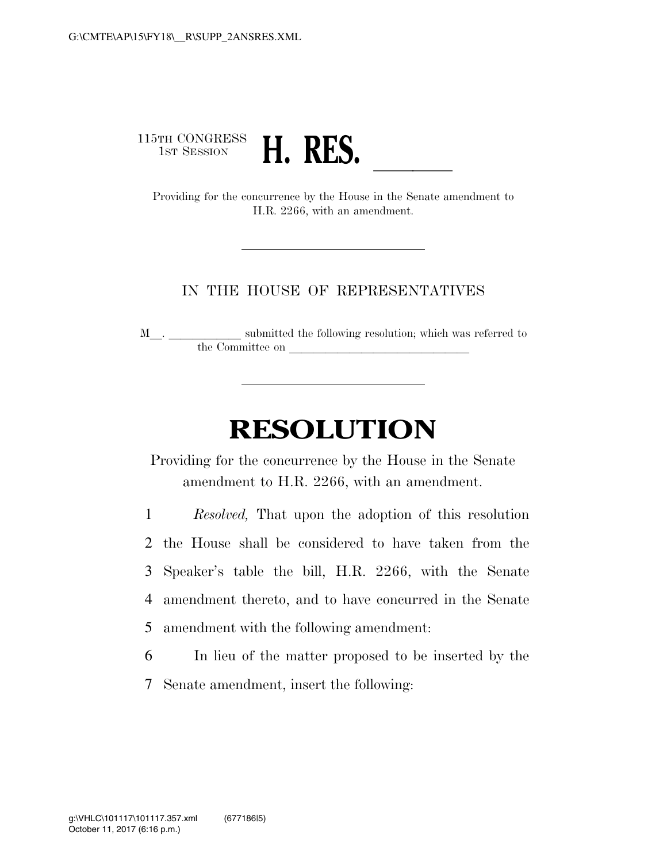# 115TH CONGRESS<br>1st Session <sup>5TH CONGRESS</sup><br>1ST SESSION **H. RES.**<br>Providing for the concurrence by the House in the Senate amendment to

H.R. 2266, with an amendment.

#### IN THE HOUSE OF REPRESENTATIVES

M $\_$   $\_$   $\_$   $\_$  submitted the following resolution; which was referred to the Committee on

## **RESOLUTION**

Providing for the concurrence by the House in the Senate amendment to H.R. 2266, with an amendment.

 *Resolved,* That upon the adoption of this resolution the House shall be considered to have taken from the Speaker's table the bill, H.R. 2266, with the Senate amendment thereto, and to have concurred in the Senate amendment with the following amendment:

6 In lieu of the matter proposed to be inserted by the

7 Senate amendment, insert the following: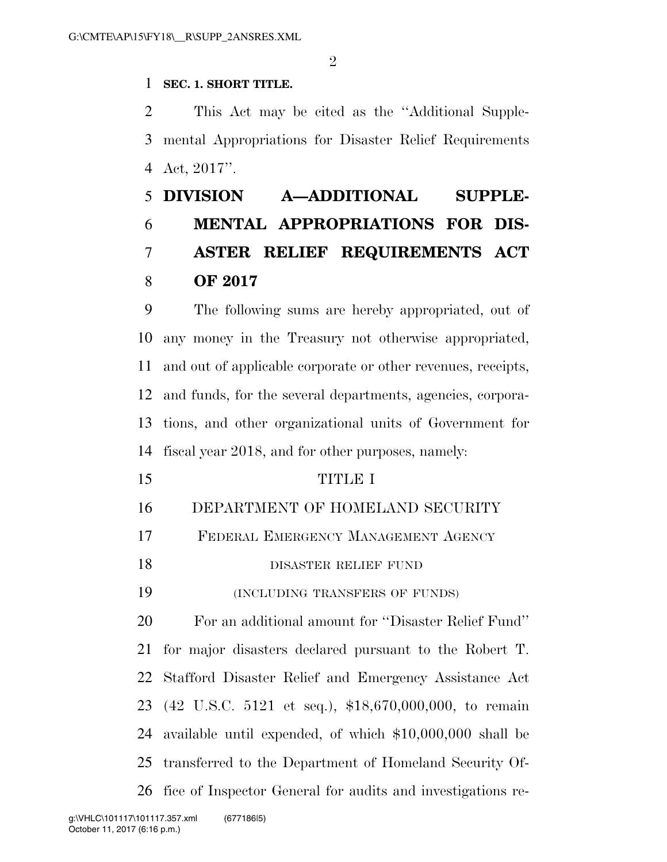#### **SEC. 1. SHORT TITLE.**

 This Act may be cited as the ''Additional Supple- mental Appropriations for Disaster Relief Requirements Act, 2017''.

## **DIVISION A—ADDITIONAL SUPPLE- MENTAL APPROPRIATIONS FOR DIS- ASTER RELIEF REQUIREMENTS ACT OF 2017**

 The following sums are hereby appropriated, out of any money in the Treasury not otherwise appropriated, and out of applicable corporate or other revenues, receipts, and funds, for the several departments, agencies, corpora- tions, and other organizational units of Government for fiscal year 2018, and for other purposes, namely:

- TITLE I
	- DEPARTMENT OF HOMELAND SECURITY
	- FEDERAL EMERGENCY MANAGEMENT AGENCY
	- 18 DISASTER RELIEF FUND

(INCLUDING TRANSFERS OF FUNDS)

 For an additional amount for ''Disaster Relief Fund'' for major disasters declared pursuant to the Robert T. Stafford Disaster Relief and Emergency Assistance Act (42 U.S.C. 5121 et seq.), \$18,670,000,000, to remain available until expended, of which \$10,000,000 shall be transferred to the Department of Homeland Security Of-fice of Inspector General for audits and investigations re-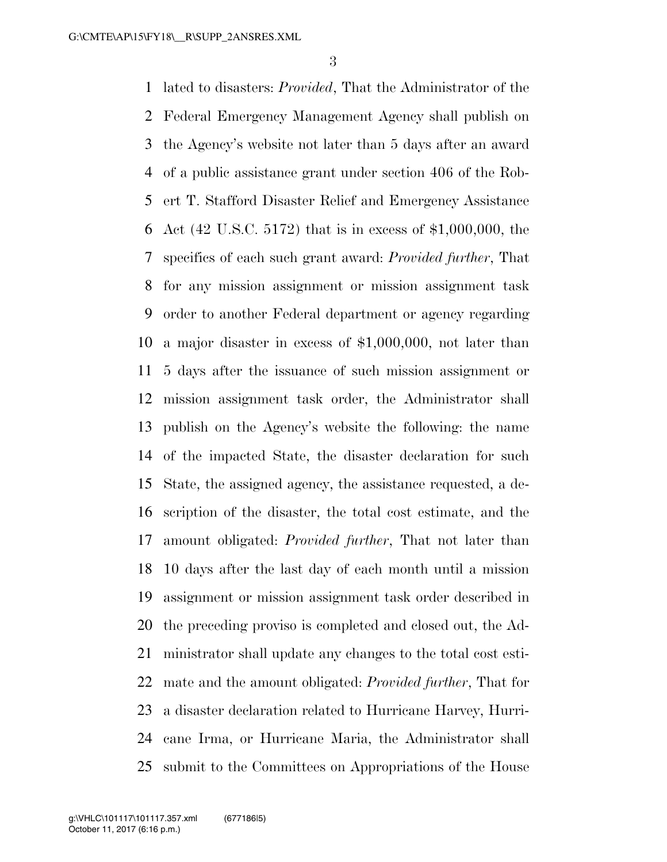lated to disasters: *Provided*, That the Administrator of the Federal Emergency Management Agency shall publish on the Agency's website not later than 5 days after an award of a public assistance grant under section 406 of the Rob- ert T. Stafford Disaster Relief and Emergency Assistance Act (42 U.S.C. 5172) that is in excess of \$1,000,000, the specifics of each such grant award: *Provided further*, That for any mission assignment or mission assignment task order to another Federal department or agency regarding a major disaster in excess of \$1,000,000, not later than 5 days after the issuance of such mission assignment or mission assignment task order, the Administrator shall publish on the Agency's website the following: the name of the impacted State, the disaster declaration for such State, the assigned agency, the assistance requested, a de- scription of the disaster, the total cost estimate, and the amount obligated: *Provided further*, That not later than 10 days after the last day of each month until a mission assignment or mission assignment task order described in the preceding proviso is completed and closed out, the Ad- ministrator shall update any changes to the total cost esti- mate and the amount obligated: *Provided further*, That for a disaster declaration related to Hurricane Harvey, Hurri- cane Irma, or Hurricane Maria, the Administrator shall submit to the Committees on Appropriations of the House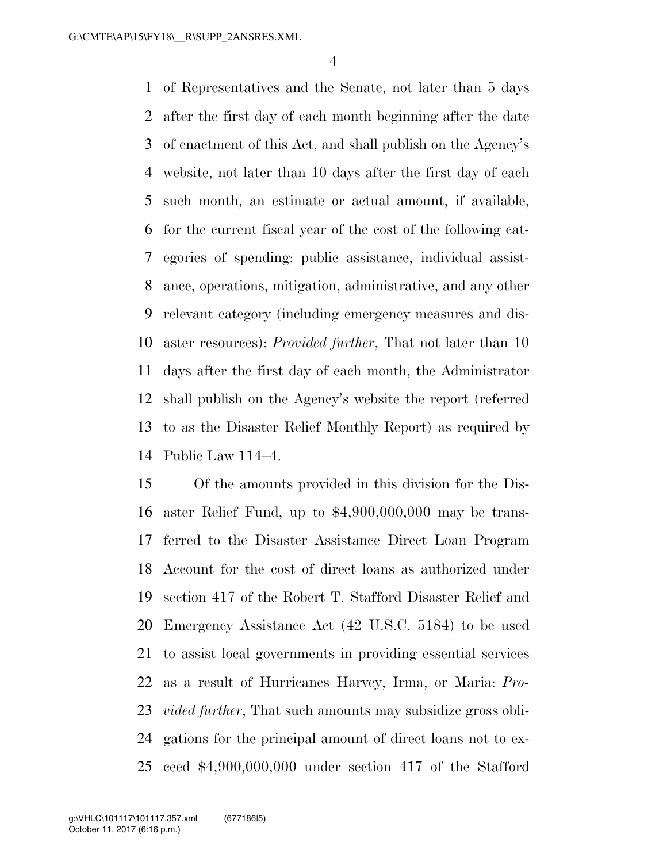of Representatives and the Senate, not later than 5 days after the first day of each month beginning after the date of enactment of this Act, and shall publish on the Agency's website, not later than 10 days after the first day of each such month, an estimate or actual amount, if available, for the current fiscal year of the cost of the following cat- egories of spending: public assistance, individual assist- ance, operations, mitigation, administrative, and any other relevant category (including emergency measures and dis- aster resources): *Provided further*, That not later than 10 days after the first day of each month, the Administrator shall publish on the Agency's website the report (referred to as the Disaster Relief Monthly Report) as required by Public Law 114–4.

 Of the amounts provided in this division for the Dis- aster Relief Fund, up to \$4,900,000,000 may be trans- ferred to the Disaster Assistance Direct Loan Program Account for the cost of direct loans as authorized under section 417 of the Robert T. Stafford Disaster Relief and Emergency Assistance Act (42 U.S.C. 5184) to be used to assist local governments in providing essential services as a result of Hurricanes Harvey, Irma, or Maria: *Pro- vided further*, That such amounts may subsidize gross obli- gations for the principal amount of direct loans not to ex-ceed \$4,900,000,000 under section 417 of the Stafford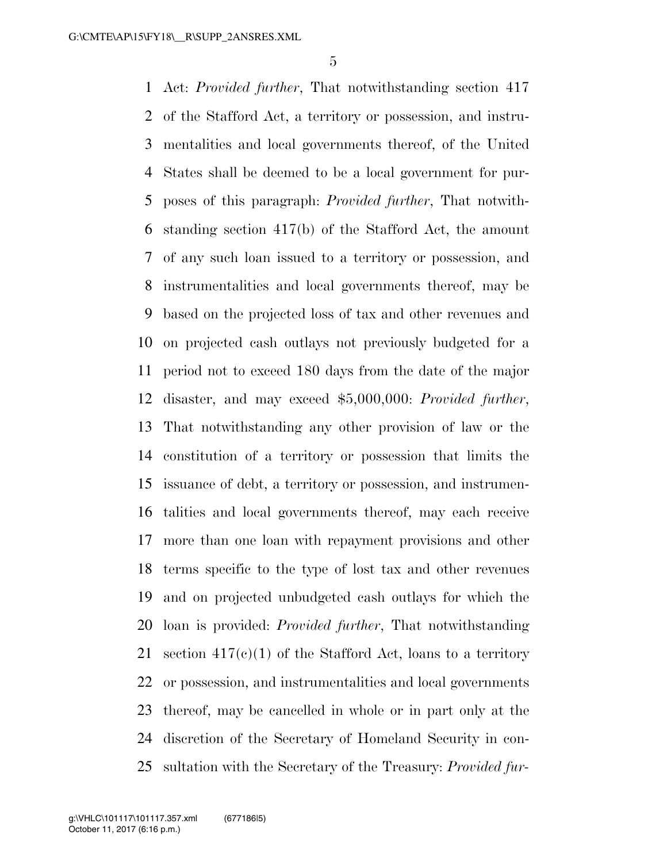Act: *Provided further*, That notwithstanding section 417 of the Stafford Act, a territory or possession, and instru- mentalities and local governments thereof, of the United States shall be deemed to be a local government for pur- poses of this paragraph: *Provided further*, That notwith- standing section 417(b) of the Stafford Act, the amount of any such loan issued to a territory or possession, and instrumentalities and local governments thereof, may be based on the projected loss of tax and other revenues and on projected cash outlays not previously budgeted for a period not to exceed 180 days from the date of the major disaster, and may exceed \$5,000,000: *Provided further*, That notwithstanding any other provision of law or the constitution of a territory or possession that limits the issuance of debt, a territory or possession, and instrumen- talities and local governments thereof, may each receive more than one loan with repayment provisions and other terms specific to the type of lost tax and other revenues and on projected unbudgeted cash outlays for which the loan is provided: *Provided further*, That notwithstanding 21 section  $417(c)(1)$  of the Stafford Act, loans to a territory or possession, and instrumentalities and local governments thereof, may be cancelled in whole or in part only at the discretion of the Secretary of Homeland Security in con-sultation with the Secretary of the Treasury: *Provided fur-*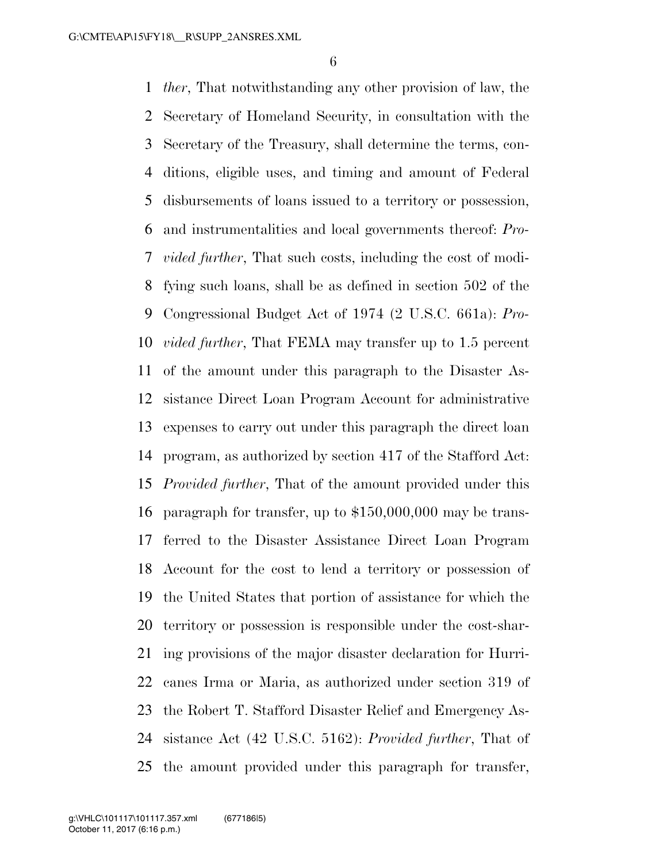*ther*, That notwithstanding any other provision of law, the Secretary of Homeland Security, in consultation with the Secretary of the Treasury, shall determine the terms, con- ditions, eligible uses, and timing and amount of Federal disbursements of loans issued to a territory or possession, and instrumentalities and local governments thereof: *Pro- vided further*, That such costs, including the cost of modi- fying such loans, shall be as defined in section 502 of the Congressional Budget Act of 1974 (2 U.S.C. 661a): *Pro- vided further*, That FEMA may transfer up to 1.5 percent of the amount under this paragraph to the Disaster As- sistance Direct Loan Program Account for administrative expenses to carry out under this paragraph the direct loan program, as authorized by section 417 of the Stafford Act: *Provided further*, That of the amount provided under this paragraph for transfer, up to \$150,000,000 may be trans- ferred to the Disaster Assistance Direct Loan Program Account for the cost to lend a territory or possession of the United States that portion of assistance for which the territory or possession is responsible under the cost-shar- ing provisions of the major disaster declaration for Hurri- canes Irma or Maria, as authorized under section 319 of the Robert T. Stafford Disaster Relief and Emergency As- sistance Act (42 U.S.C. 5162): *Provided further*, That of the amount provided under this paragraph for transfer,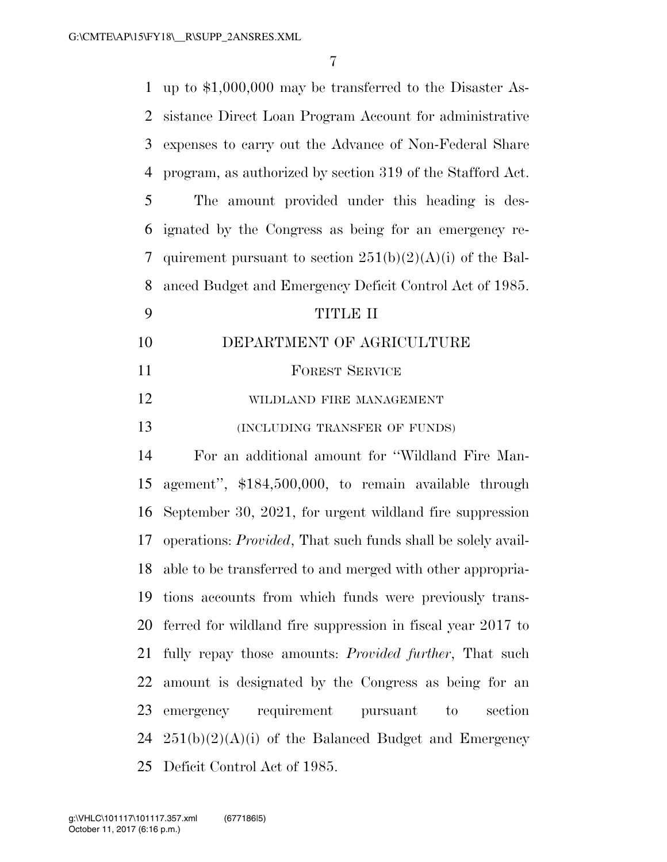| $\mathbf{1}$   | up to $$1,000,000$ may be transferred to the Disaster As-            |
|----------------|----------------------------------------------------------------------|
| $\overline{2}$ | sistance Direct Loan Program Account for administrative              |
| 3              | expenses to carry out the Advance of Non-Federal Share               |
| $\overline{4}$ | program, as authorized by section 319 of the Stafford Act.           |
| 5              | The amount provided under this heading is des-                       |
| 6              | ignated by the Congress as being for an emergency re-                |
| 7              | quirement pursuant to section $251(b)(2)(A)(i)$ of the Bal-          |
| 8              | anced Budget and Emergency Deficit Control Act of 1985.              |
| 9              | TITLE II                                                             |
| 10             | DEPARTMENT OF AGRICULTURE                                            |
| 11             | <b>FOREST SERVICE</b>                                                |
| 12             | WILDLAND FIRE MANAGEMENT                                             |
| 13             | (INCLUDING TRANSFER OF FUNDS)                                        |
| 14             | For an additional amount for "Wildland Fire Man-                     |
| 15             | agement", \$184,500,000, to remain available through                 |
| 16             | September 30, 2021, for urgent wildland fire suppression             |
| 17             | operations: <i>Provided</i> , That such funds shall be solely avail- |
|                | 18 able to be transferred to and merged with other appropria-        |
| 19             | tions accounts from which funds were previously trans-               |
|                | 20 ferred for wildland fire suppression in fiscal year 2017 to       |
| 21             | fully repay those amounts: <i>Provided further</i> , That such       |
| 22             | amount is designated by the Congress as being for an                 |
| 23             | emergency requirement pursuant to section                            |
|                | $24 \quad 251(b)(2)(A)(i)$ of the Balanced Budget and Emergency      |
|                | 25 Deficit Control Act of 1985.                                      |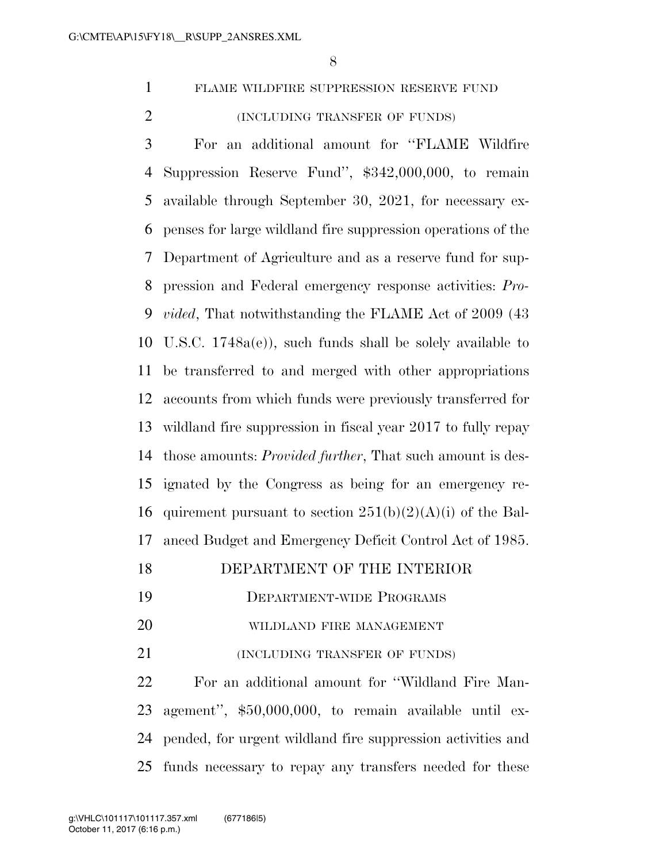FLAME WILDFIRE SUPPRESSION RESERVE FUND (INCLUDING TRANSFER OF FUNDS)

 For an additional amount for ''FLAME Wildfire Suppression Reserve Fund'', \$342,000,000, to remain available through September 30, 2021, for necessary ex- penses for large wildland fire suppression operations of the Department of Agriculture and as a reserve fund for sup- pression and Federal emergency response activities: *Pro- vided*, That notwithstanding the FLAME Act of 2009 (43 U.S.C. 1748a(e)), such funds shall be solely available to be transferred to and merged with other appropriations accounts from which funds were previously transferred for wildland fire suppression in fiscal year 2017 to fully repay those amounts: *Provided further*, That such amount is des- ignated by the Congress as being for an emergency re-16 quirement pursuant to section  $251(b)(2)(A)(i)$  of the Bal-anced Budget and Emergency Deficit Control Act of 1985.

#### DEPARTMENT OF THE INTERIOR

- DEPARTMENT-WIDE PROGRAMS
- WILDLAND FIRE MANAGEMENT
- (INCLUDING TRANSFER OF FUNDS)

 For an additional amount for ''Wildland Fire Man- agement'', \$50,000,000, to remain available until ex- pended, for urgent wildland fire suppression activities and funds necessary to repay any transfers needed for these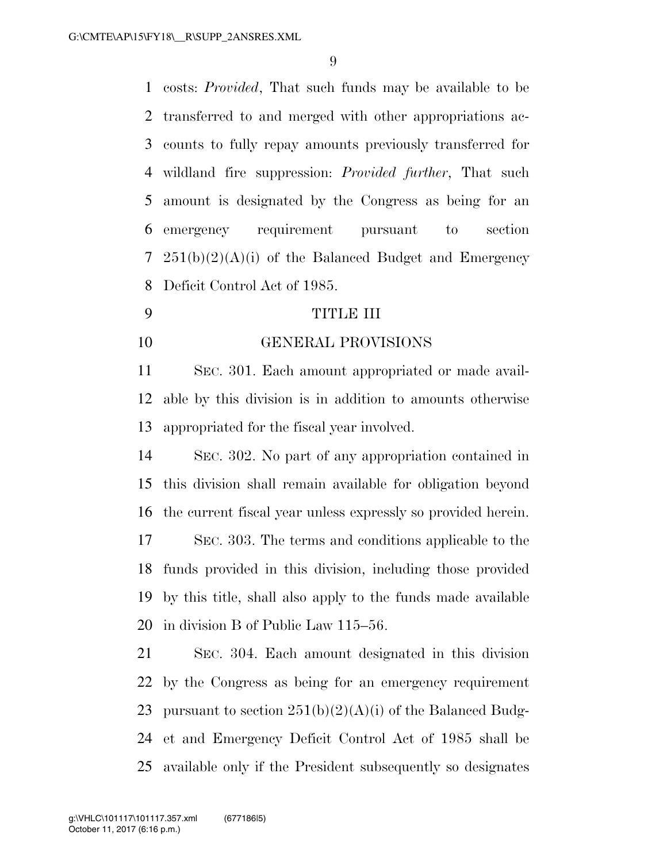costs: *Provided*, That such funds may be available to be transferred to and merged with other appropriations ac- counts to fully repay amounts previously transferred for wildland fire suppression: *Provided further*, That such amount is designated by the Congress as being for an emergency requirement pursuant to section  $251(b)(2)(A)(i)$  of the Balanced Budget and Emergency Deficit Control Act of 1985.

#### TITLE III

GENERAL PROVISIONS

 SEC. 301. Each amount appropriated or made avail- able by this division is in addition to amounts otherwise appropriated for the fiscal year involved.

 SEC. 302. No part of any appropriation contained in this division shall remain available for obligation beyond the current fiscal year unless expressly so provided herein. SEC. 303. The terms and conditions applicable to the funds provided in this division, including those provided by this title, shall also apply to the funds made available in division B of Public Law 115–56.

 SEC. 304. Each amount designated in this division by the Congress as being for an emergency requirement 23 pursuant to section  $251(b)(2)(A)(i)$  of the Balanced Budg- et and Emergency Deficit Control Act of 1985 shall be available only if the President subsequently so designates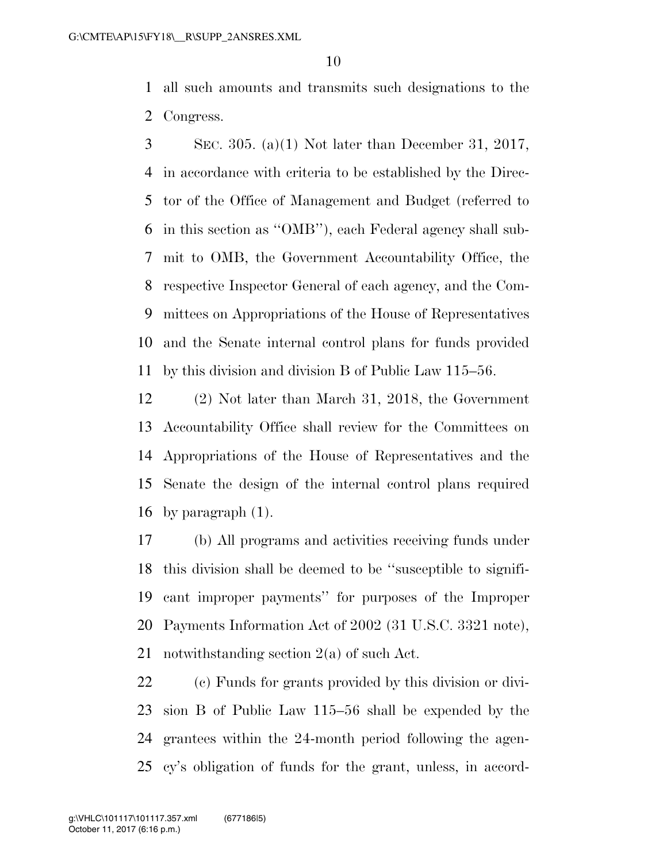all such amounts and transmits such designations to the Congress.

 SEC. 305. (a)(1) Not later than December 31, 2017, in accordance with criteria to be established by the Direc- tor of the Office of Management and Budget (referred to in this section as ''OMB''), each Federal agency shall sub- mit to OMB, the Government Accountability Office, the respective Inspector General of each agency, and the Com- mittees on Appropriations of the House of Representatives and the Senate internal control plans for funds provided by this division and division B of Public Law 115–56.

 (2) Not later than March 31, 2018, the Government Accountability Office shall review for the Committees on Appropriations of the House of Representatives and the Senate the design of the internal control plans required by paragraph (1).

 (b) All programs and activities receiving funds under this division shall be deemed to be ''susceptible to signifi- cant improper payments'' for purposes of the Improper Payments Information Act of 2002 (31 U.S.C. 3321 note), notwithstanding section 2(a) of such Act.

 (c) Funds for grants provided by this division or divi- sion B of Public Law 115–56 shall be expended by the grantees within the 24-month period following the agen-cy's obligation of funds for the grant, unless, in accord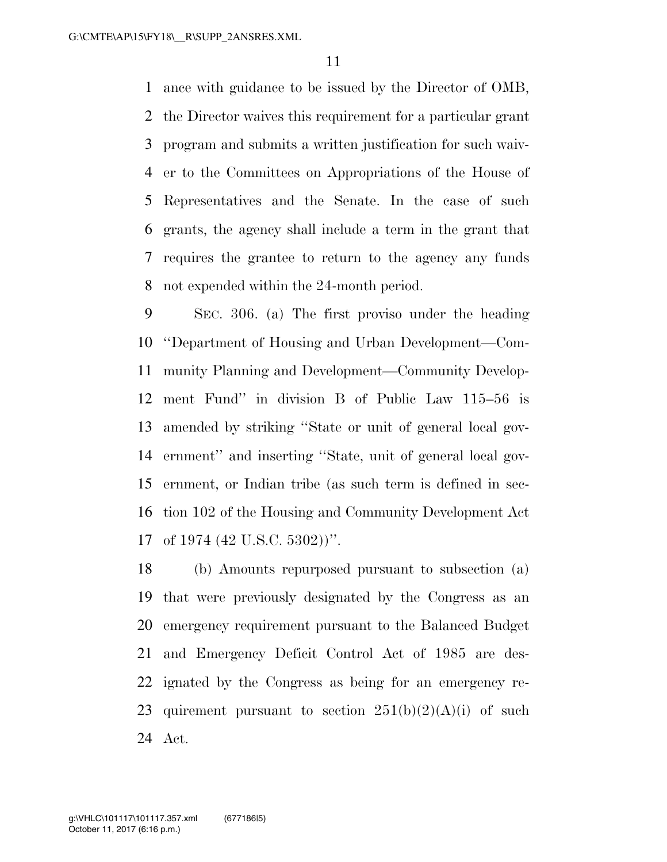ance with guidance to be issued by the Director of OMB, the Director waives this requirement for a particular grant program and submits a written justification for such waiv- er to the Committees on Appropriations of the House of Representatives and the Senate. In the case of such grants, the agency shall include a term in the grant that requires the grantee to return to the agency any funds not expended within the 24-month period.

 SEC. 306. (a) The first proviso under the heading ''Department of Housing and Urban Development—Com- munity Planning and Development—Community Develop- ment Fund'' in division B of Public Law 115–56 is amended by striking ''State or unit of general local gov- ernment'' and inserting ''State, unit of general local gov- ernment, or Indian tribe (as such term is defined in sec- tion 102 of the Housing and Community Development Act of 1974 (42 U.S.C. 5302))''.

 (b) Amounts repurposed pursuant to subsection (a) that were previously designated by the Congress as an emergency requirement pursuant to the Balanced Budget and Emergency Deficit Control Act of 1985 are des- ignated by the Congress as being for an emergency re-23 quirement pursuant to section  $251(b)(2)(A)(i)$  of such Act.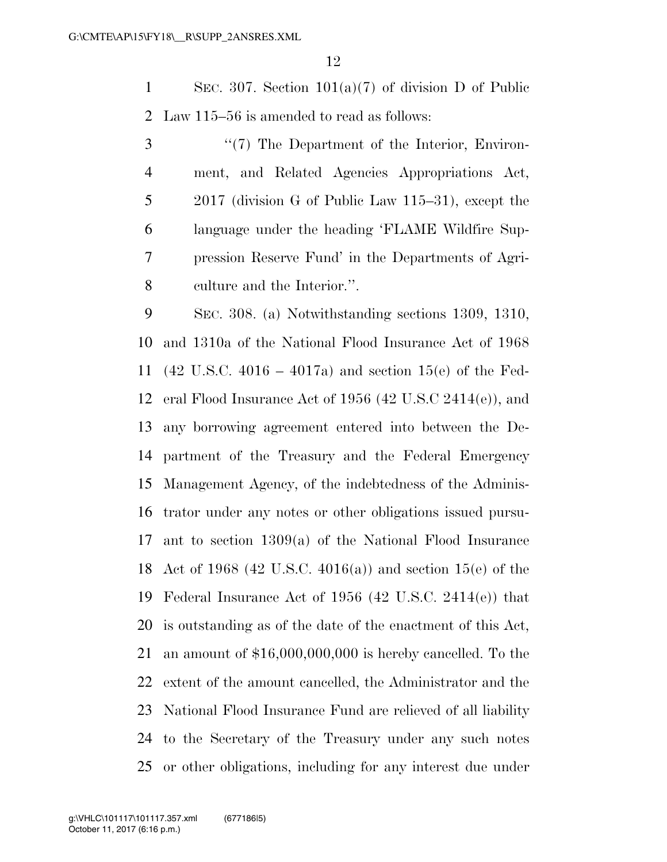SEC. 307. Section 101(a)(7) of division D of Public Law 115–56 is amended to read as follows:

3 "(7) The Department of the Interior, Environ- ment, and Related Agencies Appropriations Act, 2017 (division G of Public Law 115–31), except the language under the heading 'FLAME Wildfire Sup- pression Reserve Fund' in the Departments of Agri-culture and the Interior.''.

 SEC. 308. (a) Notwithstanding sections 1309, 1310, and 1310a of the National Flood Insurance Act of 1968 (42 U.S.C. 4016 – 4017a) and section 15(e) of the Fed- eral Flood Insurance Act of 1956 (42 U.S.C 2414(e)), and any borrowing agreement entered into between the De- partment of the Treasury and the Federal Emergency Management Agency, of the indebtedness of the Adminis- trator under any notes or other obligations issued pursu- ant to section 1309(a) of the National Flood Insurance Act of 1968 (42 U.S.C. 4016(a)) and section 15(e) of the Federal Insurance Act of 1956 (42 U.S.C. 2414(e)) that is outstanding as of the date of the enactment of this Act, an amount of \$16,000,000,000 is hereby cancelled. To the extent of the amount cancelled, the Administrator and the National Flood Insurance Fund are relieved of all liability to the Secretary of the Treasury under any such notes or other obligations, including for any interest due under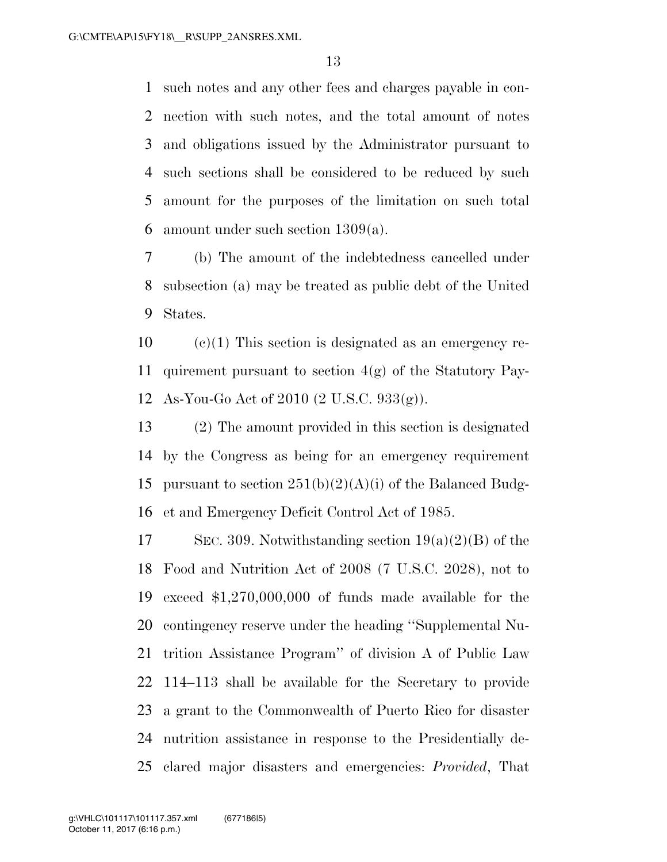such notes and any other fees and charges payable in con- nection with such notes, and the total amount of notes and obligations issued by the Administrator pursuant to such sections shall be considered to be reduced by such amount for the purposes of the limitation on such total amount under such section 1309(a).

 (b) The amount of the indebtedness cancelled under subsection (a) may be treated as public debt of the United States.

 (c)(1) This section is designated as an emergency re- quirement pursuant to section 4(g) of the Statutory Pay-As-You-Go Act of 2010 (2 U.S.C. 933(g)).

 (2) The amount provided in this section is designated by the Congress as being for an emergency requirement 15 pursuant to section  $251(b)(2)(A)(i)$  of the Balanced Budg-et and Emergency Deficit Control Act of 1985.

17 SEC. 309. Notwithstanding section  $19(a)(2)(B)$  of the Food and Nutrition Act of 2008 (7 U.S.C. 2028), not to exceed \$1,270,000,000 of funds made available for the contingency reserve under the heading ''Supplemental Nu- trition Assistance Program'' of division A of Public Law 114–113 shall be available for the Secretary to provide a grant to the Commonwealth of Puerto Rico for disaster nutrition assistance in response to the Presidentially de-clared major disasters and emergencies: *Provided*, That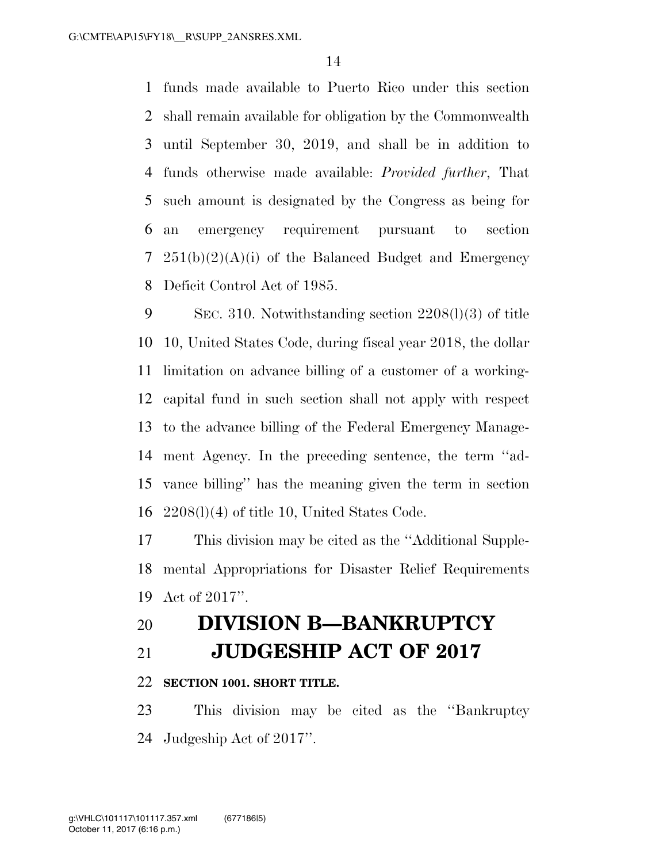funds made available to Puerto Rico under this section shall remain available for obligation by the Commonwealth until September 30, 2019, and shall be in addition to funds otherwise made available: *Provided further*, That such amount is designated by the Congress as being for an emergency requirement pursuant to section  $251(b)(2)(A)(i)$  of the Balanced Budget and Emergency Deficit Control Act of 1985.

 SEC. 310. Notwithstanding section 2208(l)(3) of title 10, United States Code, during fiscal year 2018, the dollar limitation on advance billing of a customer of a working- capital fund in such section shall not apply with respect to the advance billing of the Federal Emergency Manage- ment Agency. In the preceding sentence, the term ''ad- vance billing'' has the meaning given the term in section 2208(l)(4) of title 10, United States Code.

 This division may be cited as the ''Additional Supple- mental Appropriations for Disaster Relief Requirements Act of 2017''.

### **DIVISION B—BANKRUPTCY**

**JUDGESHIP ACT OF 2017**

#### **SECTION 1001. SHORT TITLE.**

 This division may be cited as the ''Bankruptcy Judgeship Act of 2017''.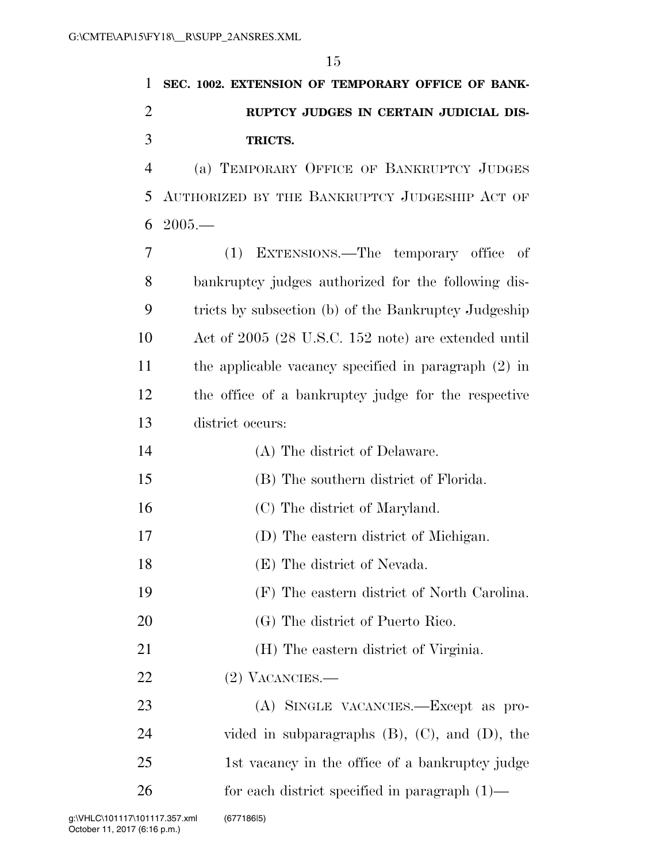| 1              | SEC. 1002. EXTENSION OF TEMPORARY OFFICE OF BANK-      |
|----------------|--------------------------------------------------------|
| $\overline{2}$ | RUPTCY JUDGES IN CERTAIN JUDICIAL DIS-                 |
| 3              | TRICTS.                                                |
| $\overline{4}$ | (a) TEMPORARY OFFICE OF BANKRUPTCY JUDGES              |
| 5              | AUTHORIZED BY THE BANKRUPTCY JUDGESHIP ACT OF          |
| 6              | $2005-$                                                |
| 7              | EXTENSIONS.—The temporary office<br>(1)<br>- of        |
| 8              | bankruptcy judges authorized for the following dis-    |
| 9              | tricts by subsection (b) of the Bankruptcy Judgeship   |
| 10             | Act of 2005 (28 U.S.C. 152 note) are extended until    |
| 11             | the applicable vacancy specified in paragraph $(2)$ in |
| 12             | the office of a bankruptcy judge for the respective    |
| 13             | district occurs:                                       |
| 14             | (A) The district of Delaware.                          |
| 15             | (B) The southern district of Florida.                  |
| 16             | (C) The district of Maryland.                          |
| 17             | (D) The eastern district of Michigan.                  |
| 18             | (E) The district of Nevada.                            |
| 19             | (F) The eastern district of North Carolina.            |
| 20             | (G) The district of Puerto Rico.                       |
| 21             | (H) The eastern district of Virginia.                  |
| <u>22</u>      | $(2)$ VACANCIES.—                                      |
| 23             | (A) SINGLE VACANCIES.—Except as pro-                   |
| 24             | vided in subparagraphs $(B)$ , $(C)$ , and $(D)$ , the |
| 25             | 1st vacancy in the office of a bankruptcy judge        |
| 26             | for each district specified in paragraph $(1)$ —       |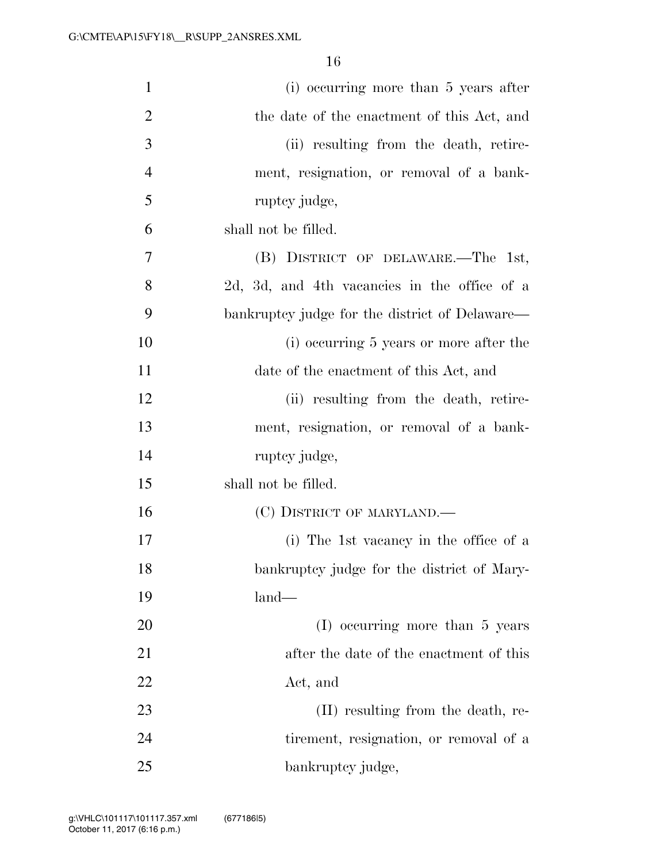| $\mathbf{1}$   | (i) occurring more than 5 years after          |
|----------------|------------------------------------------------|
| $\overline{2}$ | the date of the enactment of this Act, and     |
| 3              | (ii) resulting from the death, retire-         |
| $\overline{4}$ | ment, resignation, or removal of a bank-       |
| 5              | ruptcy judge,                                  |
| 6              | shall not be filled.                           |
| 7              | (B) DISTRICT OF DELAWARE.—The 1st,             |
| 8              | 2d, 3d, and 4th vacancies in the office of a   |
| 9              | bankruptcy judge for the district of Delaware— |
| 10             | (i) occurring 5 years or more after the        |
| 11             | date of the enactment of this Act, and         |
| 12             | (ii) resulting from the death, retire-         |
| 13             | ment, resignation, or removal of a bank-       |
| 14             | ruptcy judge,                                  |
| 15             | shall not be filled.                           |
| 16             | (C) DISTRICT OF MARYLAND.—                     |
| 17             | (i) The 1st vacancy in the office of a         |
| 18             | bankruptcy judge for the district of Mary-     |
| 19             | $land-$                                        |
| 20             | (I) occurring more than 5 years                |
| 21             | after the date of the enactment of this        |
| 22             | Act, and                                       |
| 23             | (II) resulting from the death, re-             |
| 24             | tirement, resignation, or removal of a         |
| 25             | bankruptcy judge,                              |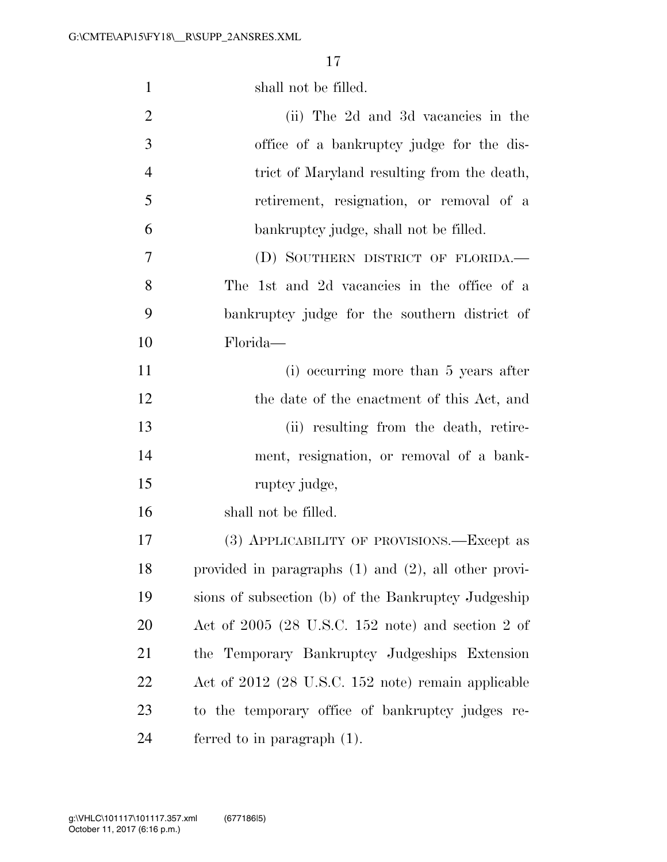| $\mathbf{1}$   | shall not be filled.                                      |
|----------------|-----------------------------------------------------------|
| $\overline{2}$ | (ii) The 2d and 3d vacancies in the                       |
| 3              | office of a bankruptcy judge for the dis-                 |
| $\overline{4}$ | trict of Maryland resulting from the death,               |
| 5              | retirement, resignation, or removal of a                  |
| 6              | bankruptcy judge, shall not be filled.                    |
| 7              | (D) SOUTHERN DISTRICT OF FLORIDA.                         |
| 8              | The 1st and 2d vacancies in the office of a               |
| 9              | bankruptcy judge for the southern district of             |
| 10             | Florida—                                                  |
| 11             | (i) occurring more than 5 years after                     |
| 12             | the date of the enactment of this Act, and                |
| 13             | (ii) resulting from the death, retire-                    |
| 14             | ment, resignation, or removal of a bank-                  |
| 15             | ruptcy judge,                                             |
| 16             | shall not be filled.                                      |
| 17             | (3) APPLICABILITY OF PROVISIONS.—Except as                |
| 18             | provided in paragraphs $(1)$ and $(2)$ , all other provi- |
| 19             | sions of subsection (b) of the Bankruptcy Judgeship       |
| 20             | Act of $2005$ (28 U.S.C. 152 note) and section 2 of       |
| 21             | the Temporary Bankruptcy Judgeships Extension             |
| 22             | Act of 2012 (28 U.S.C. 152 note) remain applicable        |
| 23             | to the temporary office of bankruptcy judges re-          |
| 24             | ferred to in paragraph $(1)$ .                            |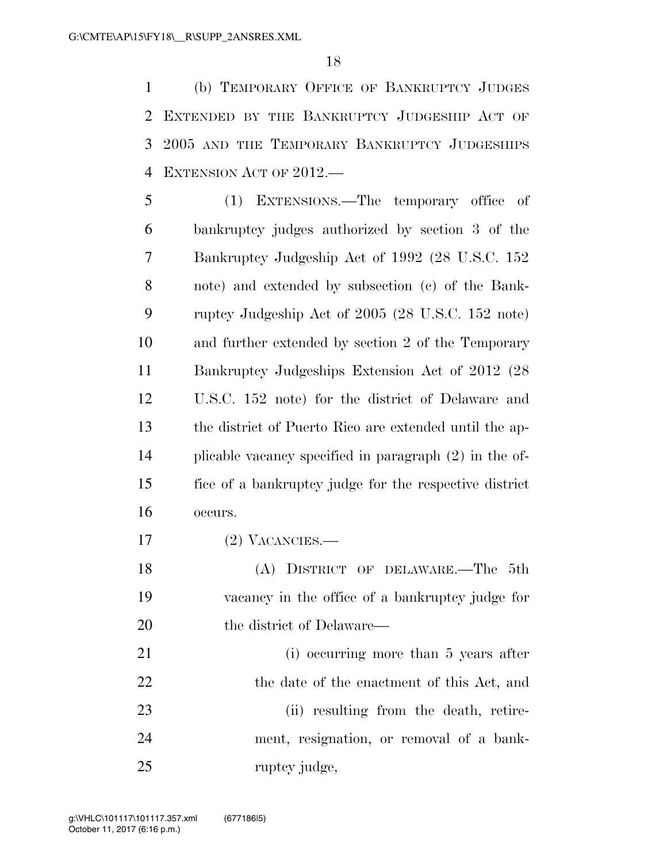(b) TEMPORARY OFFICE OF BANKRUPTCY JUDGES EXTENDED BY THE BANKRUPTCY JUDGESHIP ACT OF 3 2005 AND THE TEMPORARY BANKRUPTCY JUDGESHIPS EXTENSION ACT OF 2012.—

 (1) EXTENSIONS.—The temporary office of bankruptcy judges authorized by section 3 of the Bankruptcy Judgeship Act of 1992 (28 U.S.C. 152 note) and extended by subsection (c) of the Bank- ruptcy Judgeship Act of 2005 (28 U.S.C. 152 note) and further extended by section 2 of the Temporary Bankruptcy Judgeships Extension Act of 2012 (28 U.S.C. 152 note) for the district of Delaware and the district of Puerto Rico are extended until the ap- plicable vacancy specified in paragraph (2) in the of- fice of a bankruptcy judge for the respective district occurs.

(2) VACANCIES.—

 (A) DISTRICT OF DELAWARE.—The 5th vacancy in the office of a bankruptcy judge for 20 the district of Delaware—

21 (i) occurring more than 5 years after 22 the date of the enactment of this Act, and 23 (ii) resulting from the death, retire- ment, resignation, or removal of a bank-25 ruptcy judge,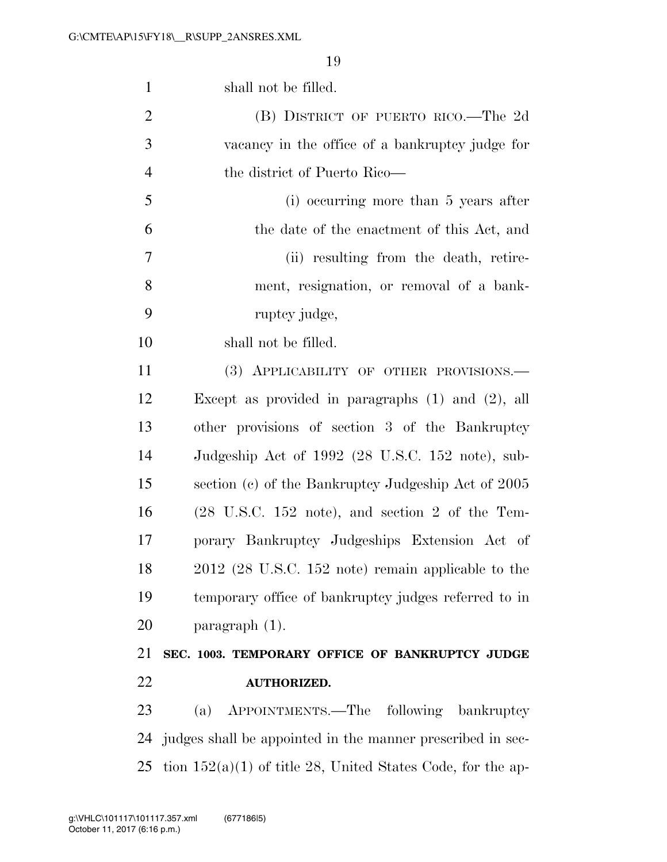| $\mathbf{1}$   | shall not be filled.                                                |
|----------------|---------------------------------------------------------------------|
| $\overline{2}$ | (B) DISTRICT OF PUERTO RICO.—The 2d                                 |
| 3              | vacancy in the office of a bankruptcy judge for                     |
| $\overline{4}$ | the district of Puerto Rico—                                        |
| 5              | (i) occurring more than 5 years after                               |
| 6              | the date of the enactment of this Act, and                          |
| $\overline{7}$ | (ii) resulting from the death, retire-                              |
| 8              | ment, resignation, or removal of a bank-                            |
| 9              | ruptcy judge,                                                       |
| 10             | shall not be filled.                                                |
| 11             | (3) APPLICABILITY OF OTHER PROVISIONS.—                             |
| 12             | Except as provided in paragraphs $(1)$ and $(2)$ , all              |
| 13             | other provisions of section 3 of the Bankruptcy                     |
| 14             | Judgeship Act of 1992 (28 U.S.C. 152 note), sub-                    |
| 15             | section (c) of the Bankruptcy Judgeship Act of 2005                 |
| 16             | $(28 \text{ U.S.C. } 152 \text{ note})$ , and section 2 of the Tem- |
| 17             | porary Bankruptcy Judgeships Extension Act of                       |
| 18             | $2012$ (28 U.S.C. 152 note) remain applicable to the                |
| 19             | temporary office of bankruptcy judges referred to in                |
| 20             | $\frac{1}{2}$ paragraph $(1)$ .                                     |
| 21             | SEC. 1003. TEMPORARY OFFICE OF BANKRUPTCY JUDGE                     |
| 22             | <b>AUTHORIZED.</b>                                                  |
| 23             | APPOINTMENTS.—The<br>following bankruptcy<br>(a)                    |
| 24             | judges shall be appointed in the manner prescribed in sec-          |
| 25             | tion $152(a)(1)$ of title 28, United States Code, for the ap-       |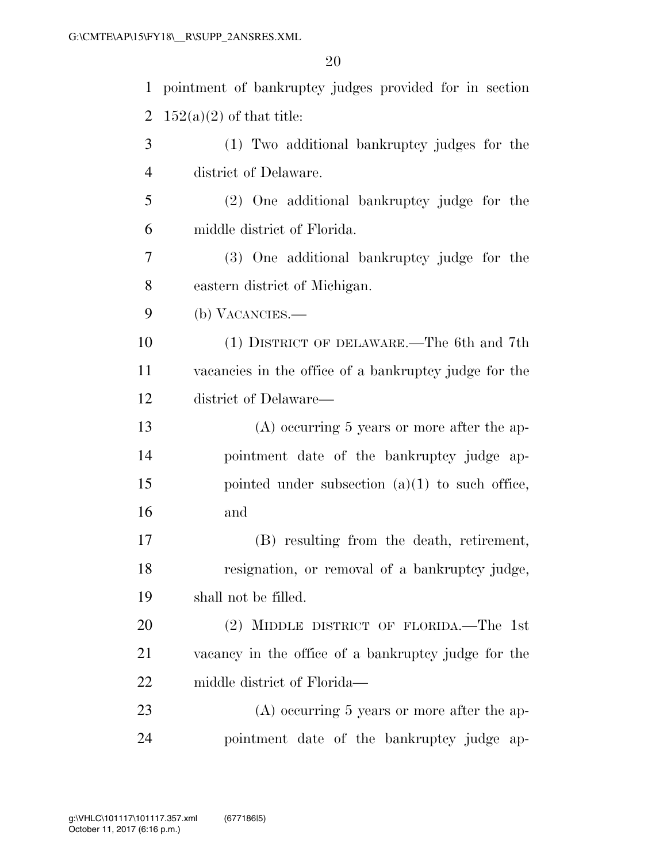| $\mathbf{1}$   | pointment of bankruptcy judges provided for in section |
|----------------|--------------------------------------------------------|
| $\overline{2}$ | $152(a)(2)$ of that title:                             |
| 3              | (1) Two additional bankruptcy judges for the           |
| $\overline{4}$ | district of Delaware.                                  |
| 5              | (2) One additional bankruptcy judge for the            |
| 6              | middle district of Florida.                            |
| 7              | (3) One additional bankruptcy judge for the            |
| 8              | eastern district of Michigan.                          |
| 9              | (b) VACANCIES.—                                        |
| 10             | (1) DISTRICT OF DELAWARE.—The 6th and 7th              |
| 11             | vacancies in the office of a bankruptcy judge for the  |
| 12             | district of Delaware—                                  |
| 13             | $(A)$ occurring 5 years or more after the ap-          |
| 14             | pointment date of the bankruptcy judge ap-             |
| 15             | pointed under subsection $(a)(1)$ to such office,      |
| 16             | and                                                    |
| 17             | (B) resulting from the death, retirement,              |
| 18             | resignation, or removal of a bankruptcy judge,         |
| 19             | shall not be filled.                                   |
| 20             | (2) MIDDLE DISTRICT OF FLORIDA.—The 1st                |
| 21             | vacancy in the office of a bankruptcy judge for the    |
| 22             | middle district of Florida—                            |
| 23             | $(A)$ occurring 5 years or more after the ap-          |
| 24             | pointment date of the bankruptcy judge ap-             |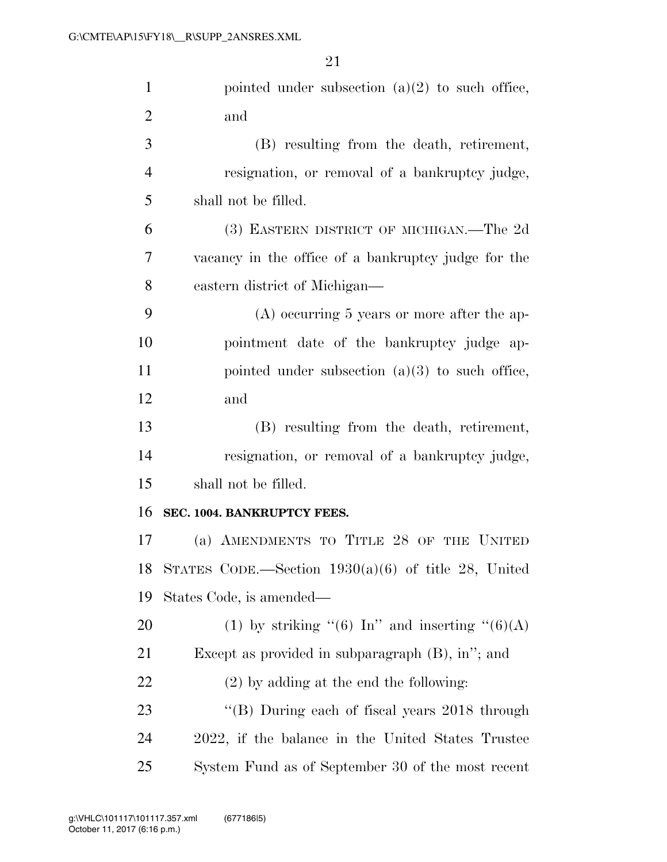| $\mathbf{1}$   | pointed under subsection $(a)(2)$ to such office,     |
|----------------|-------------------------------------------------------|
| $\overline{2}$ | and                                                   |
| 3              | (B) resulting from the death, retirement,             |
| $\overline{4}$ | resignation, or removal of a bankruptcy judge,        |
| 5              | shall not be filled.                                  |
| 6              | (3) EASTERN DISTRICT OF MICHIGAN.—The 2d              |
| 7              | vacancy in the office of a bankruptcy judge for the   |
| 8              | eastern district of Michigan—                         |
| 9              | $(A)$ occurring 5 years or more after the ap-         |
| 10             | pointment date of the bankruptcy judge ap-            |
| 11             | pointed under subsection $(a)(3)$ to such office,     |
| 12             | and                                                   |
| 13             | (B) resulting from the death, retirement,             |
| 14             | resignation, or removal of a bankruptcy judge,        |
| 15             | shall not be filled.                                  |
| 16             | SEC. 1004. BANKRUPTCY FEES.                           |
| 17             | (a) AMENDMENTS TO TITLE 28 OF THE UNITED              |
| 18             | STATES CODE.—Section $1930(a)(6)$ of title 28, United |
| 19             | States Code, is amended—                              |
| 20             | (1) by striking "(6) In" and inserting "(6)(A)        |
| 21             | Except as provided in subparagraph $(B)$ , in"; and   |
| 22             | $(2)$ by adding at the end the following:             |
| 23             | "(B) During each of fiscal years 2018 through         |
| 24             | 2022, if the balance in the United States Trustee     |
| 25             | System Fund as of September 30 of the most recent     |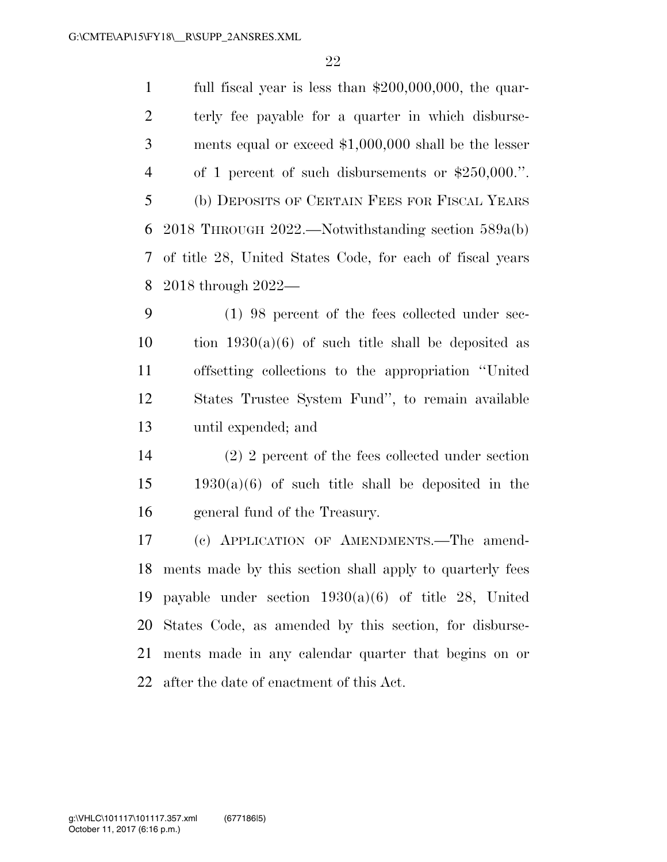full fiscal year is less than \$200,000,000, the quar- terly fee payable for a quarter in which disburse- ments equal or exceed \$1,000,000 shall be the lesser of 1 percent of such disbursements or \$250,000.''. (b) DEPOSITS OF CERTAIN FEES FOR FISCAL YEARS 2018 THROUGH 2022.—Notwithstanding section 589a(b) of title 28, United States Code, for each of fiscal years 2018 through 2022—

 (1) 98 percent of the fees collected under sec-10 tion  $1930(a)(6)$  of such title shall be deposited as offsetting collections to the appropriation ''United States Trustee System Fund'', to remain available until expended; and

 (2) 2 percent of the fees collected under section  $15 \qquad 1930(a)(6)$  of such title shall be deposited in the general fund of the Treasury.

 (c) APPLICATION OF AMENDMENTS.—The amend- ments made by this section shall apply to quarterly fees payable under section 1930(a)(6) of title 28, United States Code, as amended by this section, for disburse- ments made in any calendar quarter that begins on or after the date of enactment of this Act.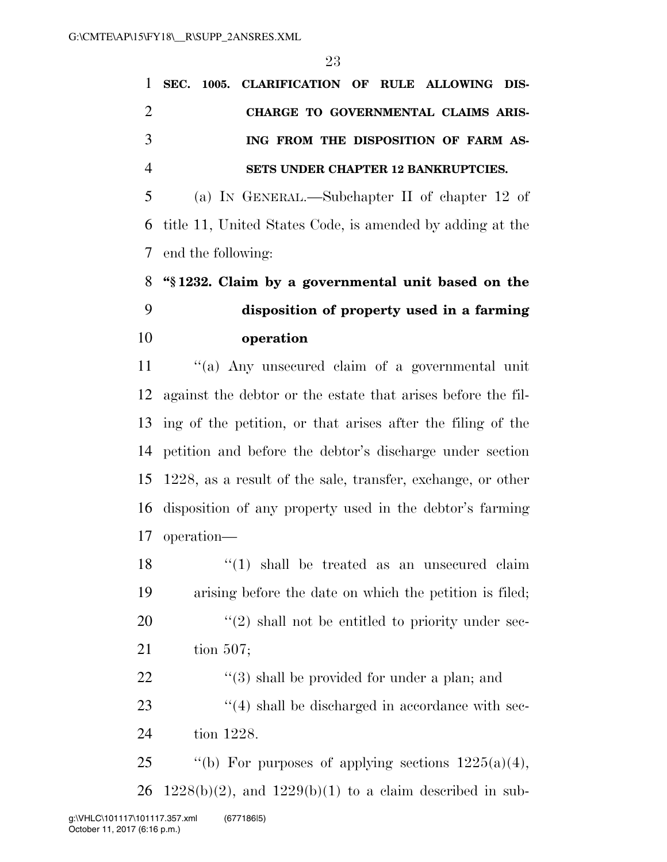|               |  | 1 SEC. 1005. CLARIFICATION OF RULE ALLOWING DIS- |  |  |  |
|---------------|--|--------------------------------------------------|--|--|--|
|               |  | CHARGE TO GOVERNMENTAL CLAIMS ARIS-              |  |  |  |
| $\mathcal{R}$ |  | ING FROM THE DISPOSITION OF FARM AS-             |  |  |  |
|               |  | SETS UNDER CHAPTER 12 BANKRUPTCIES.              |  |  |  |

 (a) IN GENERAL.—Subchapter II of chapter 12 of title 11, United States Code, is amended by adding at the end the following:

### **''§ 1232. Claim by a governmental unit based on the disposition of property used in a farming operation**

 ''(a) Any unsecured claim of a governmental unit against the debtor or the estate that arises before the fil- ing of the petition, or that arises after the filing of the petition and before the debtor's discharge under section 1228, as a result of the sale, transfer, exchange, or other disposition of any property used in the debtor's farming operation—

18 ''(1) shall be treated as an unsecured claim arising before the date on which the petition is filed; ''(2) shall not be entitled to priority under sec-tion 507;

 ''(3) shall be provided for under a plan; and 23  $\frac{4}{4}$  shall be discharged in accordance with sec-tion 1228.

25  $\qquad$  "(b) For purposes of applying sections  $1225(a)(4)$ , 26 1228(b)(2), and 1229(b)(1) to a claim described in sub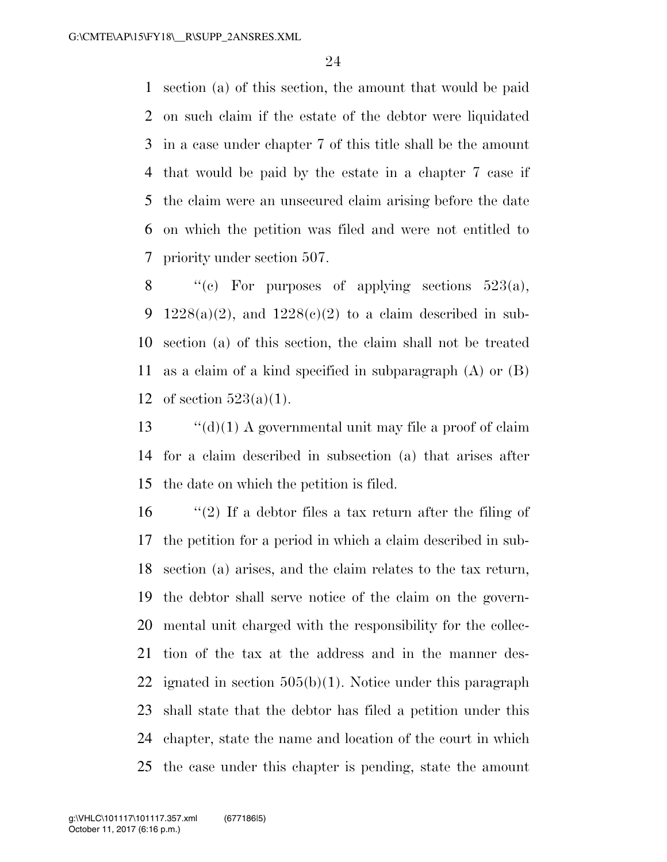section (a) of this section, the amount that would be paid on such claim if the estate of the debtor were liquidated in a case under chapter 7 of this title shall be the amount that would be paid by the estate in a chapter 7 case if the claim were an unsecured claim arising before the date on which the petition was filed and were not entitled to priority under section 507.

8  $\langle \text{C}(\mathbf{c}) \rangle$  For purposes of applying sections 523(a), 9 1228(a)(2), and  $1228(c)(2)$  to a claim described in sub- section (a) of this section, the claim shall not be treated as a claim of a kind specified in subparagraph (A) or (B) 12 of section  $523(a)(1)$ .

13  $\cdot$  "(d)(1) A governmental unit may file a proof of claim for a claim described in subsection (a) that arises after the date on which the petition is filed.

 $\frac{1}{2}$  If a debtor files a tax return after the filing of the petition for a period in which a claim described in sub- section (a) arises, and the claim relates to the tax return, the debtor shall serve notice of the claim on the govern- mental unit charged with the responsibility for the collec- tion of the tax at the address and in the manner des-22 ignated in section  $505(b)(1)$ . Notice under this paragraph shall state that the debtor has filed a petition under this chapter, state the name and location of the court in which the case under this chapter is pending, state the amount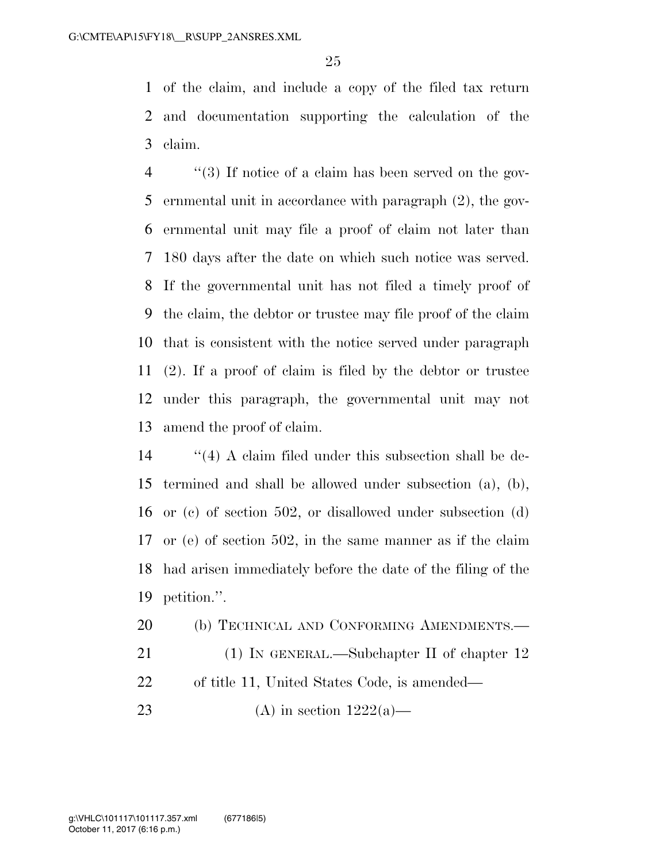of the claim, and include a copy of the filed tax return and documentation supporting the calculation of the claim.

 ''(3) If notice of a claim has been served on the gov- ernmental unit in accordance with paragraph (2), the gov- ernmental unit may file a proof of claim not later than 180 days after the date on which such notice was served. If the governmental unit has not filed a timely proof of the claim, the debtor or trustee may file proof of the claim that is consistent with the notice served under paragraph (2). If a proof of claim is filed by the debtor or trustee under this paragraph, the governmental unit may not amend the proof of claim.

 ''(4) A claim filed under this subsection shall be de- termined and shall be allowed under subsection (a), (b), or (c) of section 502, or disallowed under subsection (d) or (e) of section 502, in the same manner as if the claim had arisen immediately before the date of the filing of the petition.''.

20 (b) TECHNICAL AND CONFORMING AMENDMENTS.— 21 (1) IN GENERAL.—Subchapter II of chapter 12 of title 11, United States Code, is amended—

23 (A) in section  $1222(a)$ —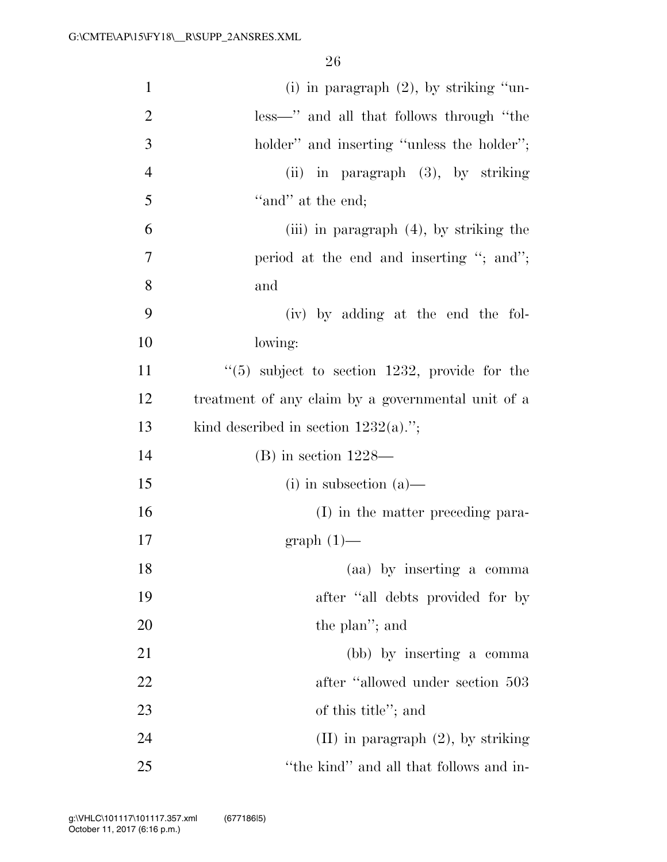| $\mathbf{1}$   | (i) in paragraph $(2)$ , by striking "un-          |
|----------------|----------------------------------------------------|
| $\overline{c}$ | less—" and all that follows through "the           |
| 3              | holder" and inserting "unless the holder";         |
| $\overline{4}$ | $(ii)$ in paragraph $(3)$ , by striking            |
| 5              | "and" at the end;                                  |
| 6              | (iii) in paragraph $(4)$ , by striking the         |
| 7              | period at the end and inserting "; and";           |
| 8              | and                                                |
| 9              | (iv) by adding at the end the fol-                 |
| 10             | lowing:                                            |
| 11             | $(5)$ subject to section 1232, provide for the     |
| 12             | treatment of any claim by a governmental unit of a |
| 13             | kind described in section $1232(a)$ .";            |
| 14             | $(B)$ in section 1228—                             |
| 15             | $(i)$ in subsection $(a)$ —                        |
| 16             | (I) in the matter preceding para-                  |
| 17             | $graph(1)$ —                                       |
| 18             | (aa) by inserting a comma                          |
| 19             | after "all debts provided for by                   |
| 20             | the plan"; and                                     |
| 21             | (bb) by inserting a comma                          |
| 22             | after "allowed under section 503                   |
| 23             | of this title"; and                                |
| 24             | $(II)$ in paragraph $(2)$ , by striking            |
| 25             | "the kind" and all that follows and in-            |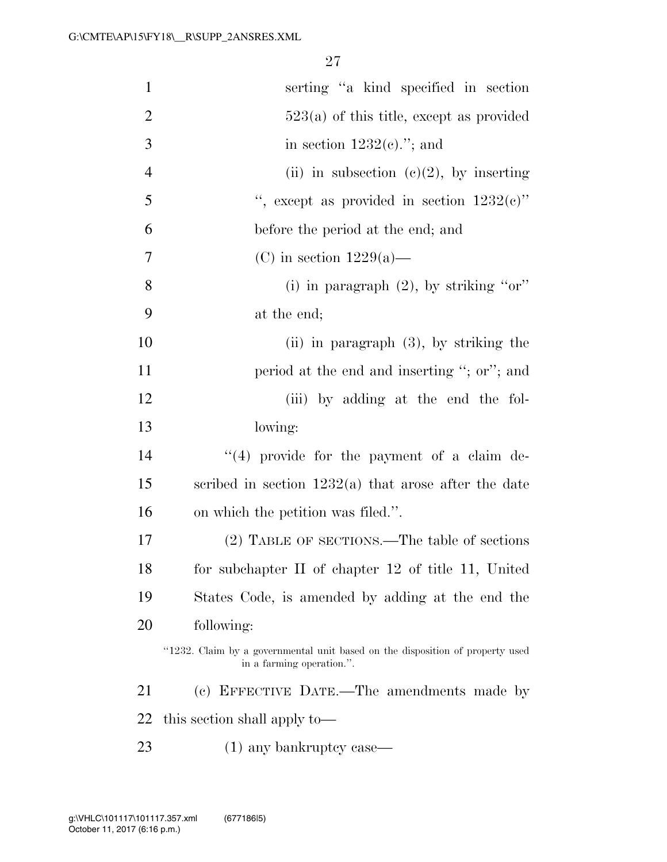| $\mathbf{1}$   | serting "a kind specified in section                                                                       |
|----------------|------------------------------------------------------------------------------------------------------------|
| $\overline{2}$ | $523(a)$ of this title, except as provided                                                                 |
| 3              | in section $1232(e)$ ."; and                                                                               |
| $\overline{4}$ | (ii) in subsection (c)(2), by inserting                                                                    |
| 5              | ", except as provided in section $1232(e)$ "                                                               |
| 6              | before the period at the end; and                                                                          |
| 7              | (C) in section $1229(a)$ —                                                                                 |
| 8              | (i) in paragraph $(2)$ , by striking "or"                                                                  |
| 9              | at the end;                                                                                                |
| 10             | $(ii)$ in paragraph $(3)$ , by striking the                                                                |
| 11             | period at the end and inserting "; or"; and                                                                |
| 12             | (iii) by adding at the end the fol-                                                                        |
| 13             | lowing:                                                                                                    |
| 14             | "(4) provide for the payment of a claim de-                                                                |
| 15             | scribed in section $1232(a)$ that arose after the date                                                     |
| 16             | on which the petition was filed.".                                                                         |
| 17             | (2) TABLE OF SECTIONS.—The table of sections                                                               |
| 18             | for subchapter II of chapter 12 of title 11, United                                                        |
| 19             | States Code, is amended by adding at the end the                                                           |
| 20             | following:                                                                                                 |
|                | "1232. Claim by a governmental unit based on the disposition of property used<br>in a farming operation.". |
| 21             | (c) EFFECTIVE DATE.—The amendments made by                                                                 |
| 22             | this section shall apply to—                                                                               |
| 23             | $(1)$ any bankruptcy case—                                                                                 |